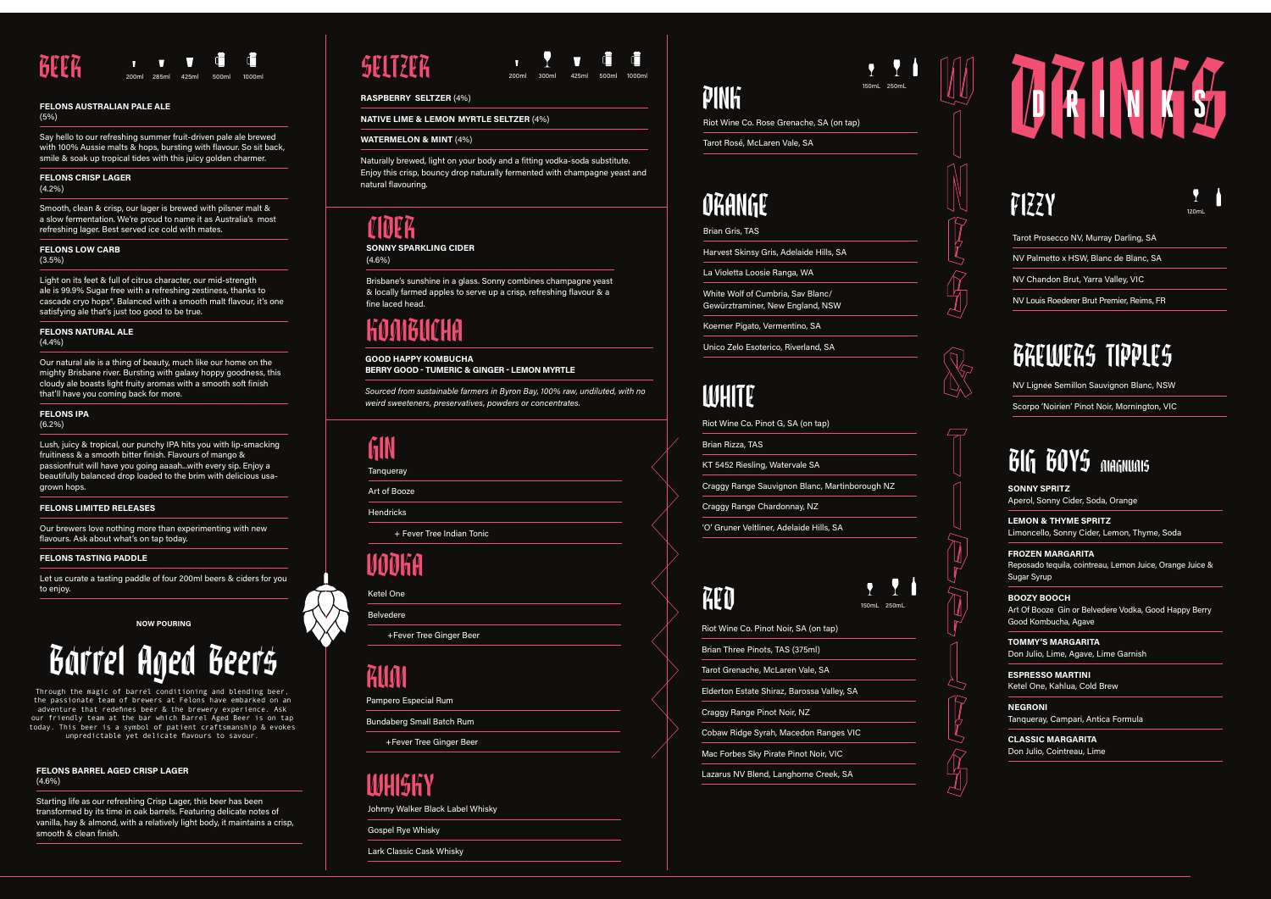| Riot Wine Co. Pinot Noir, SA (on tap)      |
|--------------------------------------------|
| Brian Three Pinots, TAS (375ml)            |
| Tarot Grenache, McLaren Vale, SA           |
| Elderton Estate Shiraz, Barossa Valley, SA |
| Craggy Range Pinot Noir, NZ                |
| Cobaw Ridge Syrah, Macedon Ranges VIC      |
| Mac Forbes Sky Pirate Pinot Noir, VIC      |
| Lazarus NV Blend, Langhorne Creek, SA      |

Riot Wine Co. Rose Grenache, SA (on tap)

Tarot Rosé, McLaren Vale, SA

## PINK

Brian Gris, TAS

Harvest Skinsy Gris, Adelaide Hills, SA

La Violetta Loosie Ranga, WA

White Wolf of Cumbria, Sav Blanc/ Gewürztraminer, New England, NSW

Koerner Pigato, Vermentino, SA

Unico Zelo Esoterico, Riverland, SA

## **WHITE**

## ORANGE

Riot Wine Co. Pinot G, SA (on tap)

Brian Rizza, TAS

N DOWN

KT 5452 Riesling, Watervale SA

Craggy Range Sauvignon Blanc, Martinborough NZ

Craggy Range Chardonnay, NZ

'O' Gruner Veltliner, Adelaide Hills, SA

# RED

**SONNY SPRITZ** Aperol, Sonny Cider, Soda, Orange

**LEMON & THYME SPRITZ**  Limoncello, Sonny Cider, Lemon, Thyme, Soda

**FROZEN MARGARITA** Reposado tequila, cointreau, Lemon Juice, Orange Juice & Sugar Syrup

**BOOZY BOOCH** Art Of Booze Gin or Belvedere Vodka, Good Happy Berry Good Kombucha, Agave

**TOMMY'S MARGARITA** Don Julio, Lime, Agave, Lime Garnish

#### **FELONS NATURAL ALE**  $(4.4%)$

**ESPRESSO MARTINI** Ketel One, Kahlua, Cold Brew

**NEGRONI** Tanqueray, Campari, Antica Formula

**CLASSIC MARGARITA** Don Julio, Cointreau, Lime

# BREWERS TIPPLES

W

&



# **BEER 200ml 285ml 425ml 500ml 285ml 500ml 285ml 500ml 285ml 500ml 425ml 500ml 425ml 500ml 800ml 800ml 800ml 800ml 800ml 800ml 800ml 800ml 800ml 800ml 800ml 800ml 800ml 800ml 800ml 800ml 800ml 800ml 800ml 800ml 800ml 800ml**

# FIZZY



Tarot Prosecco NV, Murray Darling, SA

NV Palmetto x HSW, Blanc de Blanc, SA

NV Chandon Brut, Yarra Valley, VIC

NV Louis Roederer Brut Premier, Reims, FR

# 150mL 250mL

NV Lignee Semillon Sauvignon Blanc, NSW

Scorpo 'Noirien' Pinot Noir, Mornington, VIC

# BIG BOYS MAGNUMS

#### **FELONS AUSTRALIAN PALE ALE**

(5%)

Say hello to our refreshing summer fruit-driven pale ale brewed with 100% Aussie malts & hops, bursting with flavour. So sit back, smile & soak up tropical tides with this juicy golden charmer.

#### **FELONS CRISP LAGER**

(4.2%)

Smooth, clean & crisp, our lager is brewed with pilsner malt & a slow fermentation. We're proud to name it as Australia's most refreshing lager. Best served ice cold with mates.

#### **FELONS LOW CARB**

(3.5%)

Light on its feet & full of citrus character, our mid-strength ale is 99.9% Sugar free with a refreshing zestiness, thanks to cascade cryo hops®. Balanced with a smooth malt flavour, it's one satisfying ale that's just too good to be true.

Our natural ale is a thing of beauty, much like our home on the mighty Brisbane river. Bursting with galaxy hoppy goodness, this cloudy ale boasts light fruity aromas with a smooth soft finish that'll have you coming back for more.

#### **FELONS IPA** (6.2%)

Lush, juicy & tropical, our punchy IPA hits you with lip-smacking fruitiness & a smooth bitter finish. Flavours of mango & passionfruit will have you going aaaah...with every sip. Enjoy a beautifully balanced drop loaded to the brim with delicious usagrown hops.

#### **FELONS LIMITED RELEASES**

Our brewers love nothing more than experimenting with new flavours. Ask about what's on tap today.

#### **FELONS TASTING PADDLE**

Let us curate a tasting paddle of four 200ml beers & ciders for you to enjoy.

#### **GOOD HAPPY KOMBUCHA BERRY GOOD - TUMERIC & GINGER - LEMON MYRTLE**

*Sourced from sustainable farmers in Byron Bay, 100% raw, undiluted, with no weird sweeteners, preservatives, powders or concentrates.* 

#### **Tangueray GIN**

Art of Booze

Hendricks

+ Fever Tree Indian Tonic

## NODKA

Ketel One

Belvedere

+Fever Tree Ginger Beer

## RUM

Pampero Especial Rum

Bundaberg Small Batch Rum

+Fever Tree Ginger Beer

### WHISKY

Johnny Walker Black Label Whisky

Gospel Rye Whisky

Lark Classic Cask Whisky

# 150mL 250mL

**NOW POURING**

# Barrel Aged Beers

Through the magic of barrel conditioning and blending beer, the passionate team of brewers at Felons have embarked on an adventure that redefines beer & the brewery experience. Ask our friendly team at the bar which Barrel Aged Beer is on tap today. This beer is a symbol of patient craftsmanship & evokes unpredictable yet delicate flavours to savour.

## CIDER

**SONNY SPARKLING CIDER** 

(4.6%)

Brisbane's sunshine in a glass. Sonny combines champagne yeast & locally farmed apples to serve up a crisp, refreshing flavour & a fine laced head.

## MRMMHA

#### **FELONS BARREL AGED CRISP LAGER** (4.6%)

Starting life as our refreshing Crisp Lager, this beer has been transformed by its time in oak barrels. Featuring delicate notes of vanilla, hay & almond, with a relatively light body, it maintains a crisp, smooth & clean finish.

## SF17FR



#### **RASPBERRY SELTZER** (4%)

**NATIVE LIME & LEMON MYRTLE SELTZER** (4%)

#### **WATERMELON & MINT** (4%)

Naturally brewed, light on your body and a fitting vodka-soda substitute. Enjoy this crisp, bouncy drop naturally fermented with champagne yeast and natural flavouring.